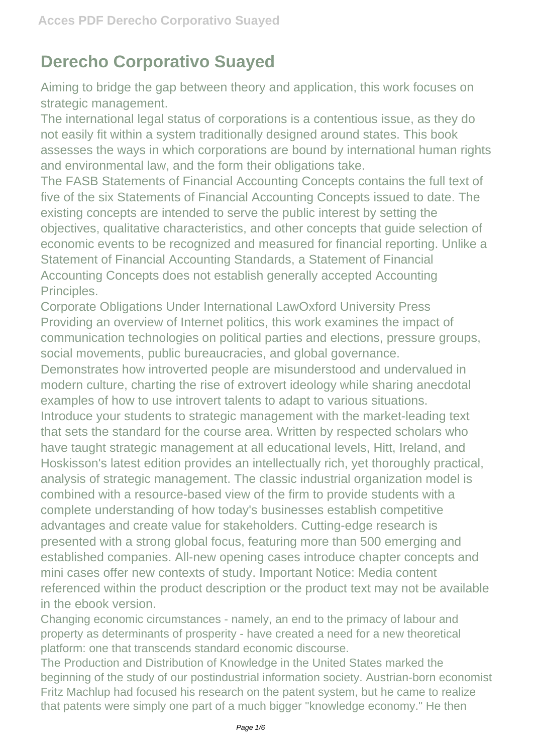## **Derecho Corporativo Suayed**

Aiming to bridge the gap between theory and application, this work focuses on strategic management.

The international legal status of corporations is a contentious issue, as they do not easily fit within a system traditionally designed around states. This book assesses the ways in which corporations are bound by international human rights and environmental law, and the form their obligations take.

The FASB Statements of Financial Accounting Concepts contains the full text of five of the six Statements of Financial Accounting Concepts issued to date. The existing concepts are intended to serve the public interest by setting the objectives, qualitative characteristics, and other concepts that guide selection of economic events to be recognized and measured for financial reporting. Unlike a Statement of Financial Accounting Standards, a Statement of Financial Accounting Concepts does not establish generally accepted Accounting Principles.

Corporate Obligations Under International LawOxford University Press Providing an overview of Internet politics, this work examines the impact of communication technologies on political parties and elections, pressure groups, social movements, public bureaucracies, and global governance.

Demonstrates how introverted people are misunderstood and undervalued in modern culture, charting the rise of extrovert ideology while sharing anecdotal examples of how to use introvert talents to adapt to various situations. Introduce your students to strategic management with the market-leading text that sets the standard for the course area. Written by respected scholars who have taught strategic management at all educational levels, Hitt, Ireland, and Hoskisson's latest edition provides an intellectually rich, yet thoroughly practical, analysis of strategic management. The classic industrial organization model is combined with a resource-based view of the firm to provide students with a complete understanding of how today's businesses establish competitive advantages and create value for stakeholders. Cutting-edge research is presented with a strong global focus, featuring more than 500 emerging and established companies. All-new opening cases introduce chapter concepts and mini cases offer new contexts of study. Important Notice: Media content referenced within the product description or the product text may not be available in the ebook version.

Changing economic circumstances - namely, an end to the primacy of labour and property as determinants of prosperity - have created a need for a new theoretical platform: one that transcends standard economic discourse.

The Production and Distribution of Knowledge in the United States marked the beginning of the study of our postindustrial information society. Austrian-born economist Fritz Machlup had focused his research on the patent system, but he came to realize that patents were simply one part of a much bigger "knowledge economy." He then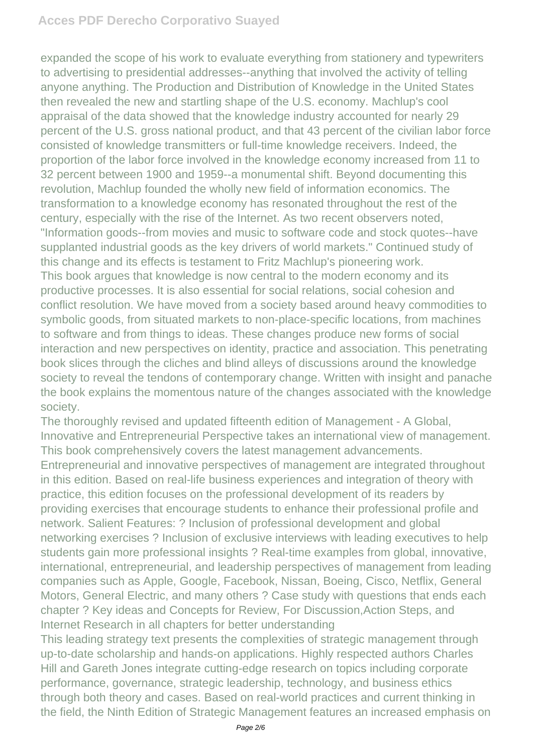## **Acces PDF Derecho Corporativo Suayed**

expanded the scope of his work to evaluate everything from stationery and typewriters to advertising to presidential addresses--anything that involved the activity of telling anyone anything. The Production and Distribution of Knowledge in the United States then revealed the new and startling shape of the U.S. economy. Machlup's cool appraisal of the data showed that the knowledge industry accounted for nearly 29 percent of the U.S. gross national product, and that 43 percent of the civilian labor force consisted of knowledge transmitters or full-time knowledge receivers. Indeed, the proportion of the labor force involved in the knowledge economy increased from 11 to 32 percent between 1900 and 1959--a monumental shift. Beyond documenting this revolution, Machlup founded the wholly new field of information economics. The transformation to a knowledge economy has resonated throughout the rest of the century, especially with the rise of the Internet. As two recent observers noted, "Information goods--from movies and music to software code and stock quotes--have supplanted industrial goods as the key drivers of world markets." Continued study of this change and its effects is testament to Fritz Machlup's pioneering work. This book argues that knowledge is now central to the modern economy and its productive processes. It is also essential for social relations, social cohesion and conflict resolution. We have moved from a society based around heavy commodities to symbolic goods, from situated markets to non-place-specific locations, from machines to software and from things to ideas. These changes produce new forms of social interaction and new perspectives on identity, practice and association. This penetrating book slices through the cliches and blind alleys of discussions around the knowledge society to reveal the tendons of contemporary change. Written with insight and panache the book explains the momentous nature of the changes associated with the knowledge society.

The thoroughly revised and updated fifteenth edition of Management - A Global, Innovative and Entrepreneurial Perspective takes an international view of management. This book comprehensively covers the latest management advancements. Entrepreneurial and innovative perspectives of management are integrated throughout in this edition. Based on real-life business experiences and integration of theory with practice, this edition focuses on the professional development of its readers by providing exercises that encourage students to enhance their professional profile and network. Salient Features: ? Inclusion of professional development and global networking exercises ? Inclusion of exclusive interviews with leading executives to help students gain more professional insights ? Real-time examples from global, innovative, international, entrepreneurial, and leadership perspectives of management from leading companies such as Apple, Google, Facebook, Nissan, Boeing, Cisco, Netflix, General Motors, General Electric, and many others ? Case study with questions that ends each chapter ? Key ideas and Concepts for Review, For Discussion,Action Steps, and Internet Research in all chapters for better understanding

This leading strategy text presents the complexities of strategic management through up-to-date scholarship and hands-on applications. Highly respected authors Charles Hill and Gareth Jones integrate cutting-edge research on topics including corporate performance, governance, strategic leadership, technology, and business ethics through both theory and cases. Based on real-world practices and current thinking in the field, the Ninth Edition of Strategic Management features an increased emphasis on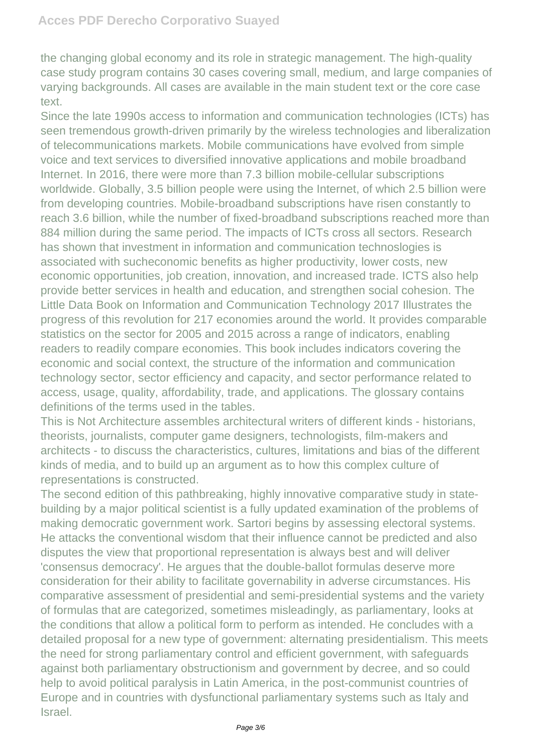the changing global economy and its role in strategic management. The high-quality case study program contains 30 cases covering small, medium, and large companies of varying backgrounds. All cases are available in the main student text or the core case text.

Since the late 1990s access to information and communication technologies (ICTs) has seen tremendous growth-driven primarily by the wireless technologies and liberalization of telecommunications markets. Mobile communications have evolved from simple voice and text services to diversified innovative applications and mobile broadband Internet. In 2016, there were more than 7.3 billion mobile-cellular subscriptions worldwide. Globally, 3.5 billion people were using the Internet, of which 2.5 billion were from developing countries. Mobile-broadband subscriptions have risen constantly to reach 3.6 billion, while the number of fixed-broadband subscriptions reached more than 884 million during the same period. The impacts of ICTs cross all sectors. Research has shown that investment in information and communication technoslogies is associated with sucheconomic benefits as higher productivity, lower costs, new economic opportunities, job creation, innovation, and increased trade. ICTS also help provide better services in health and education, and strengthen social cohesion. The Little Data Book on Information and Communication Technology 2017 Illustrates the progress of this revolution for 217 economies around the world. It provides comparable statistics on the sector for 2005 and 2015 across a range of indicators, enabling readers to readily compare economies. This book includes indicators covering the economic and social context, the structure of the information and communication technology sector, sector efficiency and capacity, and sector performance related to access, usage, quality, affordability, trade, and applications. The glossary contains definitions of the terms used in the tables.

This is Not Architecture assembles architectural writers of different kinds - historians, theorists, journalists, computer game designers, technologists, film-makers and architects - to discuss the characteristics, cultures, limitations and bias of the different kinds of media, and to build up an argument as to how this complex culture of representations is constructed.

The second edition of this pathbreaking, highly innovative comparative study in statebuilding by a major political scientist is a fully updated examination of the problems of making democratic government work. Sartori begins by assessing electoral systems. He attacks the conventional wisdom that their influence cannot be predicted and also disputes the view that proportional representation is always best and will deliver 'consensus democracy'. He argues that the double-ballot formulas deserve more consideration for their ability to facilitate governability in adverse circumstances. His comparative assessment of presidential and semi-presidential systems and the variety of formulas that are categorized, sometimes misleadingly, as parliamentary, looks at the conditions that allow a political form to perform as intended. He concludes with a detailed proposal for a new type of government: alternating presidentialism. This meets the need for strong parliamentary control and efficient government, with safeguards against both parliamentary obstructionism and government by decree, and so could help to avoid political paralysis in Latin America, in the post-communist countries of Europe and in countries with dysfunctional parliamentary systems such as Italy and Israel.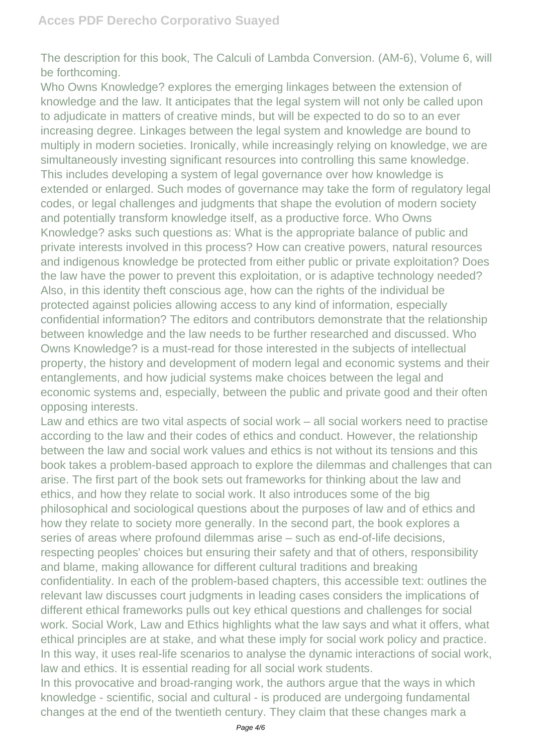The description for this book, The Calculi of Lambda Conversion. (AM-6), Volume 6, will be forthcoming.

Who Owns Knowledge? explores the emerging linkages between the extension of knowledge and the law. It anticipates that the legal system will not only be called upon to adjudicate in matters of creative minds, but will be expected to do so to an ever increasing degree. Linkages between the legal system and knowledge are bound to multiply in modern societies. Ironically, while increasingly relying on knowledge, we are simultaneously investing significant resources into controlling this same knowledge. This includes developing a system of legal governance over how knowledge is extended or enlarged. Such modes of governance may take the form of regulatory legal codes, or legal challenges and judgments that shape the evolution of modern society and potentially transform knowledge itself, as a productive force. Who Owns Knowledge? asks such questions as: What is the appropriate balance of public and private interests involved in this process? How can creative powers, natural resources and indigenous knowledge be protected from either public or private exploitation? Does the law have the power to prevent this exploitation, or is adaptive technology needed? Also, in this identity theft conscious age, how can the rights of the individual be protected against policies allowing access to any kind of information, especially confidential information? The editors and contributors demonstrate that the relationship between knowledge and the law needs to be further researched and discussed. Who Owns Knowledge? is a must-read for those interested in the subjects of intellectual property, the history and development of modern legal and economic systems and their entanglements, and how judicial systems make choices between the legal and economic systems and, especially, between the public and private good and their often opposing interests.

Law and ethics are two vital aspects of social work – all social workers need to practise according to the law and their codes of ethics and conduct. However, the relationship between the law and social work values and ethics is not without its tensions and this book takes a problem-based approach to explore the dilemmas and challenges that can arise. The first part of the book sets out frameworks for thinking about the law and ethics, and how they relate to social work. It also introduces some of the big philosophical and sociological questions about the purposes of law and of ethics and how they relate to society more generally. In the second part, the book explores a series of areas where profound dilemmas arise – such as end-of-life decisions, respecting peoples' choices but ensuring their safety and that of others, responsibility and blame, making allowance for different cultural traditions and breaking confidentiality. In each of the problem-based chapters, this accessible text: outlines the relevant law discusses court judgments in leading cases considers the implications of different ethical frameworks pulls out key ethical questions and challenges for social work. Social Work, Law and Ethics highlights what the law says and what it offers, what ethical principles are at stake, and what these imply for social work policy and practice. In this way, it uses real-life scenarios to analyse the dynamic interactions of social work, law and ethics. It is essential reading for all social work students.

In this provocative and broad-ranging work, the authors argue that the ways in which knowledge - scientific, social and cultural - is produced are undergoing fundamental changes at the end of the twentieth century. They claim that these changes mark a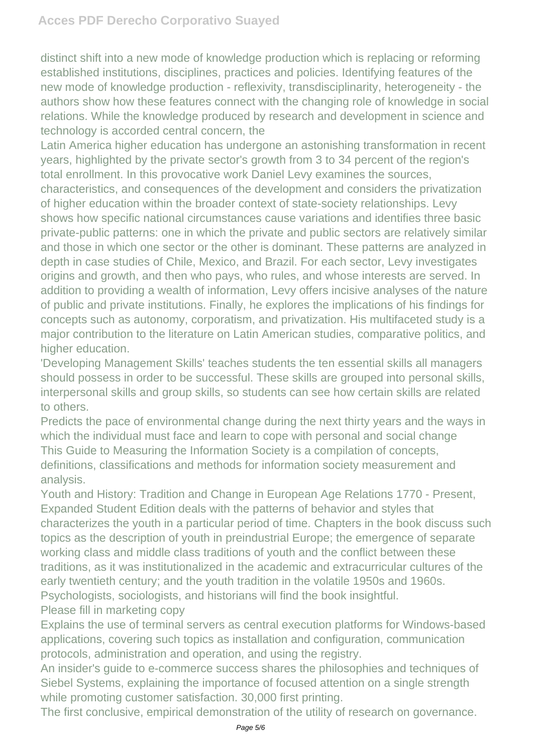distinct shift into a new mode of knowledge production which is replacing or reforming established institutions, disciplines, practices and policies. Identifying features of the new mode of knowledge production - reflexivity, transdisciplinarity, heterogeneity - the authors show how these features connect with the changing role of knowledge in social relations. While the knowledge produced by research and development in science and technology is accorded central concern, the

Latin America higher education has undergone an astonishing transformation in recent years, highlighted by the private sector's growth from 3 to 34 percent of the region's total enrollment. In this provocative work Daniel Levy examines the sources, characteristics, and consequences of the development and considers the privatization of higher education within the broader context of state-society relationships. Levy shows how specific national circumstances cause variations and identifies three basic private-public patterns: one in which the private and public sectors are relatively similar and those in which one sector or the other is dominant. These patterns are analyzed in depth in case studies of Chile, Mexico, and Brazil. For each sector, Levy investigates origins and growth, and then who pays, who rules, and whose interests are served. In addition to providing a wealth of information, Levy offers incisive analyses of the nature of public and private institutions. Finally, he explores the implications of his findings for concepts such as autonomy, corporatism, and privatization. His multifaceted study is a major contribution to the literature on Latin American studies, comparative politics, and higher education.

'Developing Management Skills' teaches students the ten essential skills all managers should possess in order to be successful. These skills are grouped into personal skills, interpersonal skills and group skills, so students can see how certain skills are related to others.

Predicts the pace of environmental change during the next thirty years and the ways in which the individual must face and learn to cope with personal and social change This Guide to Measuring the Information Society is a compilation of concepts, definitions, classifications and methods for information society measurement and analysis.

Youth and History: Tradition and Change in European Age Relations 1770 - Present, Expanded Student Edition deals with the patterns of behavior and styles that characterizes the youth in a particular period of time. Chapters in the book discuss such topics as the description of youth in preindustrial Europe; the emergence of separate working class and middle class traditions of youth and the conflict between these traditions, as it was institutionalized in the academic and extracurricular cultures of the early twentieth century; and the youth tradition in the volatile 1950s and 1960s. Psychologists, sociologists, and historians will find the book insightful. Please fill in marketing copy

Explains the use of terminal servers as central execution platforms for Windows-based applications, covering such topics as installation and configuration, communication protocols, administration and operation, and using the registry.

An insider's guide to e-commerce success shares the philosophies and techniques of Siebel Systems, explaining the importance of focused attention on a single strength while promoting customer satisfaction. 30,000 first printing.

The first conclusive, empirical demonstration of the utility of research on governance.